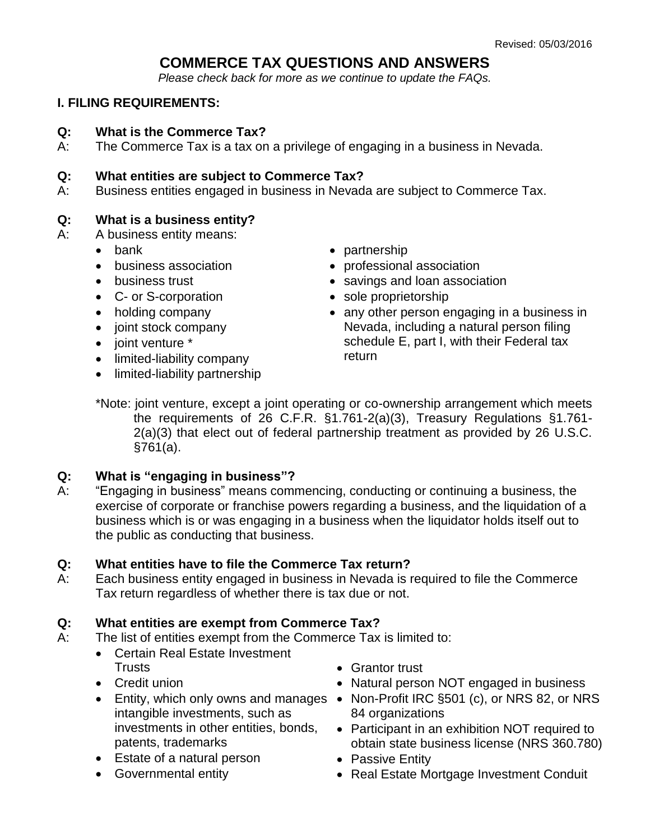# **COMMERCE TAX QUESTIONS AND ANSWERS**

*Please check back for more as we continue to update the FAQs.* 

## **I. FILING REQUIREMENTS:**

#### **Q: What is the Commerce Tax?**

A: The Commerce Tax is a tax on a privilege of engaging in a business in Nevada.

#### **Q: What entities are subject to Commerce Tax?**

A: Business entities engaged in business in Nevada are subject to Commerce Tax.

## **Q: What is a business entity?**

- A: A business entity means:
	- bank
	- business association
	- business trust
	- C- or S-corporation
	- holding company
	- joint stock company
	- joint venture \*
	- limited-liability company
	- limited-liability partnership
- partnership
- professional association
- savings and loan association
- sole proprietorship
- any other person engaging in a business in Nevada, including a natural person filing schedule E, part I, with their Federal tax return
- \*Note: joint venture, except a joint operating or co-ownership arrangement which meets the requirements of 26 C.F.R. §1.761-2(a)(3), Treasury Regulations §1.761- 2(a)(3) that elect out of federal partnership treatment as provided by 26 U.S.C. §761(a).

## **Q: What is "engaging in business"?**

A: "Engaging in business" means commencing, conducting or continuing a business, the exercise of corporate or franchise powers regarding a business, and the liquidation of a business which is or was engaging in a business when the liquidator holds itself out to the public as conducting that business.

## **Q: What entities have to file the Commerce Tax return?**

A: Each business entity engaged in business in Nevada is required to file the Commerce Tax return regardless of whether there is tax due or not.

## **Q: What entities are exempt from Commerce Tax?**

- A: The list of entities exempt from the Commerce Tax is limited to:
	- Certain Real Estate Investment **Trusts**
	- Credit union
	- intangible investments, such as investments in other entities, bonds, patents, trademarks
	- Estate of a natural person
	- Governmental entity
- Grantor trust
- Natural person NOT engaged in business
- Entity, which only owns and manages Non-Profit IRC §501 (c), or NRS 82, or NRS 84 organizations
	- Participant in an exhibition NOT required to obtain state business license (NRS 360.780)
	- Passive Entity
	- Real Estate Mortgage Investment Conduit